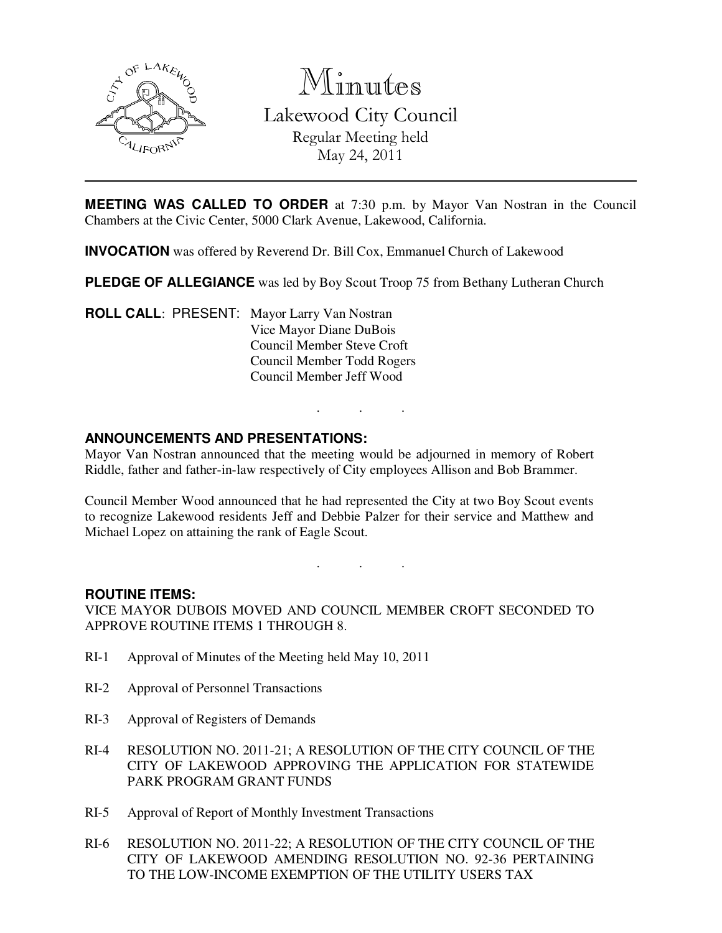

Minutes Lakewood City Council Regular Meeting held May 24, 2011

**MEETING WAS CALLED TO ORDER** at 7:30 p.m. by Mayor Van Nostran in the Council Chambers at the Civic Center, 5000 Clark Avenue, Lakewood, California.

**INVOCATION** was offered by Reverend Dr. Bill Cox, Emmanuel Church of Lakewood

**PLEDGE OF ALLEGIANCE** was led by Boy Scout Troop 75 from Bethany Lutheran Church

**ROLL CALL**: PRESENT: Mayor Larry Van Nostran Vice Mayor Diane DuBois Council Member Steve Croft Council Member Todd Rogers Council Member Jeff Wood

# **ANNOUNCEMENTS AND PRESENTATIONS:**

Mayor Van Nostran announced that the meeting would be adjourned in memory of Robert Riddle, father and father-in-law respectively of City employees Allison and Bob Brammer.

. . .

Council Member Wood announced that he had represented the City at two Boy Scout events to recognize Lakewood residents Jeff and Debbie Palzer for their service and Matthew and Michael Lopez on attaining the rank of Eagle Scout.

. . .

## **ROUTINE ITEMS:**

VICE MAYOR DUBOIS MOVED AND COUNCIL MEMBER CROFT SECONDED TO APPROVE ROUTINE ITEMS 1 THROUGH 8.

- RI-1 Approval of Minutes of the Meeting held May 10, 2011
- RI-2 Approval of Personnel Transactions
- RI-3 Approval of Registers of Demands
- RI-4 RESOLUTION NO. 2011-21; A RESOLUTION OF THE CITY COUNCIL OF THE CITY OF LAKEWOOD APPROVING THE APPLICATION FOR STATEWIDE PARK PROGRAM GRANT FUNDS
- RI-5 Approval of Report of Monthly Investment Transactions
- RI-6 RESOLUTION NO. 2011-22; A RESOLUTION OF THE CITY COUNCIL OF THE CITY OF LAKEWOOD AMENDING RESOLUTION NO. 92-36 PERTAINING TO THE LOW-INCOME EXEMPTION OF THE UTILITY USERS TAX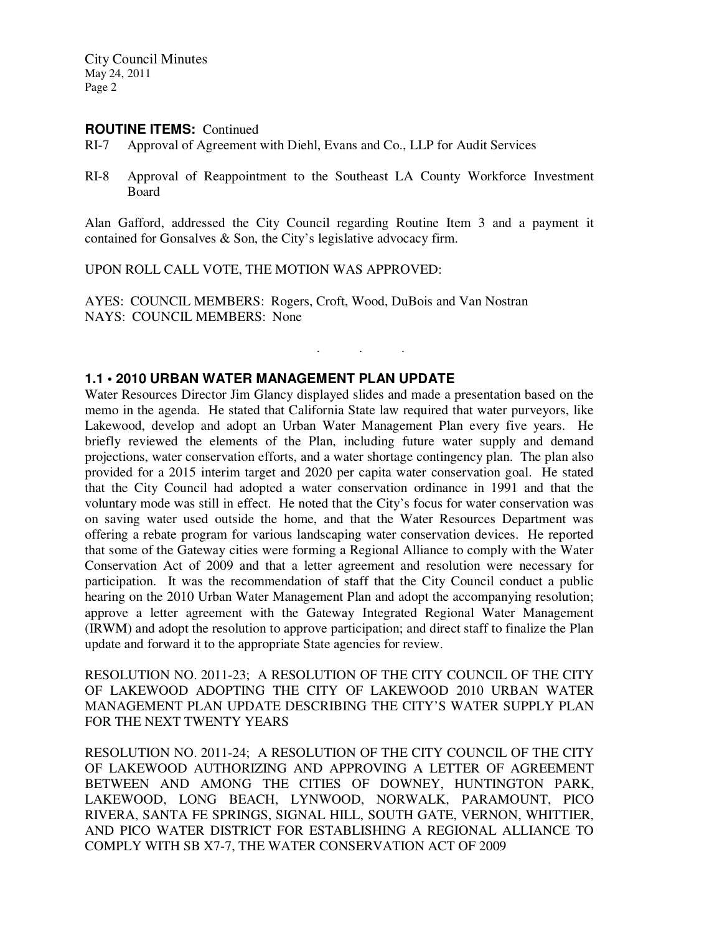City Council Minutes May 24, 2011 Page 2

#### **ROUTINE ITEMS:** Continued

- RI-7 Approval of Agreement with Diehl, Evans and Co., LLP for Audit Services
- RI-8 Approval of Reappointment to the Southeast LA County Workforce Investment Board

Alan Gafford, addressed the City Council regarding Routine Item 3 and a payment it contained for Gonsalves & Son, the City's legislative advocacy firm.

. . .

UPON ROLL CALL VOTE, THE MOTION WAS APPROVED:

AYES: COUNCIL MEMBERS: Rogers, Croft, Wood, DuBois and Van Nostran NAYS: COUNCIL MEMBERS: None

## **1.1 • 2010 URBAN WATER MANAGEMENT PLAN UPDATE**

Water Resources Director Jim Glancy displayed slides and made a presentation based on the memo in the agenda. He stated that California State law required that water purveyors, like Lakewood, develop and adopt an Urban Water Management Plan every five years. He briefly reviewed the elements of the Plan, including future water supply and demand projections, water conservation efforts, and a water shortage contingency plan. The plan also provided for a 2015 interim target and 2020 per capita water conservation goal. He stated that the City Council had adopted a water conservation ordinance in 1991 and that the voluntary mode was still in effect. He noted that the City's focus for water conservation was on saving water used outside the home, and that the Water Resources Department was offering a rebate program for various landscaping water conservation devices. He reported that some of the Gateway cities were forming a Regional Alliance to comply with the Water Conservation Act of 2009 and that a letter agreement and resolution were necessary for participation. It was the recommendation of staff that the City Council conduct a public hearing on the 2010 Urban Water Management Plan and adopt the accompanying resolution; approve a letter agreement with the Gateway Integrated Regional Water Management (IRWM) and adopt the resolution to approve participation; and direct staff to finalize the Plan update and forward it to the appropriate State agencies for review.

RESOLUTION NO. 2011-23; A RESOLUTION OF THE CITY COUNCIL OF THE CITY OF LAKEWOOD ADOPTING THE CITY OF LAKEWOOD 2010 URBAN WATER MANAGEMENT PLAN UPDATE DESCRIBING THE CITY'S WATER SUPPLY PLAN FOR THE NEXT TWENTY YEARS

RESOLUTION NO. 2011-24; A RESOLUTION OF THE CITY COUNCIL OF THE CITY OF LAKEWOOD AUTHORIZING AND APPROVING A LETTER OF AGREEMENT BETWEEN AND AMONG THE CITIES OF DOWNEY, HUNTINGTON PARK, LAKEWOOD, LONG BEACH, LYNWOOD, NORWALK, PARAMOUNT, PICO RIVERA, SANTA FE SPRINGS, SIGNAL HILL, SOUTH GATE, VERNON, WHITTIER, AND PICO WATER DISTRICT FOR ESTABLISHING A REGIONAL ALLIANCE TO COMPLY WITH SB X7-7, THE WATER CONSERVATION ACT OF 2009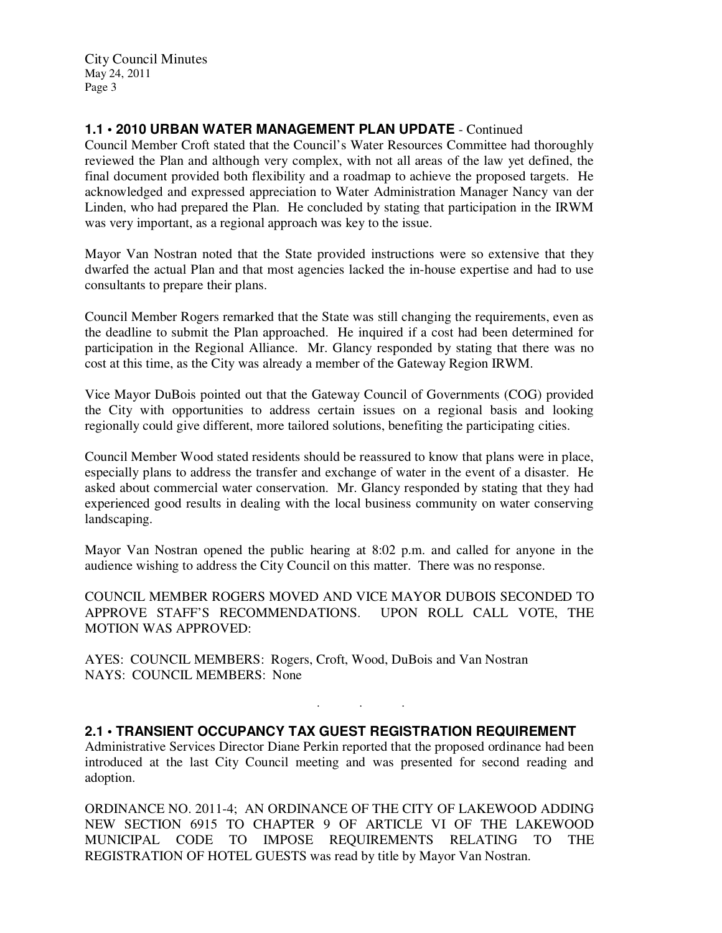City Council Minutes May 24, 2011 Page 3

# **1.1 • 2010 URBAN WATER MANAGEMENT PLAN UPDATE** - Continued

Council Member Croft stated that the Council's Water Resources Committee had thoroughly reviewed the Plan and although very complex, with not all areas of the law yet defined, the final document provided both flexibility and a roadmap to achieve the proposed targets. He acknowledged and expressed appreciation to Water Administration Manager Nancy van der Linden, who had prepared the Plan. He concluded by stating that participation in the IRWM was very important, as a regional approach was key to the issue.

Mayor Van Nostran noted that the State provided instructions were so extensive that they dwarfed the actual Plan and that most agencies lacked the in-house expertise and had to use consultants to prepare their plans.

Council Member Rogers remarked that the State was still changing the requirements, even as the deadline to submit the Plan approached. He inquired if a cost had been determined for participation in the Regional Alliance. Mr. Glancy responded by stating that there was no cost at this time, as the City was already a member of the Gateway Region IRWM.

Vice Mayor DuBois pointed out that the Gateway Council of Governments (COG) provided the City with opportunities to address certain issues on a regional basis and looking regionally could give different, more tailored solutions, benefiting the participating cities.

Council Member Wood stated residents should be reassured to know that plans were in place, especially plans to address the transfer and exchange of water in the event of a disaster. He asked about commercial water conservation. Mr. Glancy responded by stating that they had experienced good results in dealing with the local business community on water conserving landscaping.

Mayor Van Nostran opened the public hearing at 8:02 p.m. and called for anyone in the audience wishing to address the City Council on this matter. There was no response.

COUNCIL MEMBER ROGERS MOVED AND VICE MAYOR DUBOIS SECONDED TO APPROVE STAFF'S RECOMMENDATIONS. UPON ROLL CALL VOTE, THE MOTION WAS APPROVED:

AYES: COUNCIL MEMBERS: Rogers, Croft, Wood, DuBois and Van Nostran NAYS: COUNCIL MEMBERS: None

**2.1 • TRANSIENT OCCUPANCY TAX GUEST REGISTRATION REQUIREMENT** 

Administrative Services Director Diane Perkin reported that the proposed ordinance had been introduced at the last City Council meeting and was presented for second reading and adoption.

. . .

ORDINANCE NO. 2011-4; AN ORDINANCE OF THE CITY OF LAKEWOOD ADDING NEW SECTION 6915 TO CHAPTER 9 OF ARTICLE VI OF THE LAKEWOOD MUNICIPAL CODE TO IMPOSE REQUIREMENTS RELATING TO THE REGISTRATION OF HOTEL GUESTS was read by title by Mayor Van Nostran.